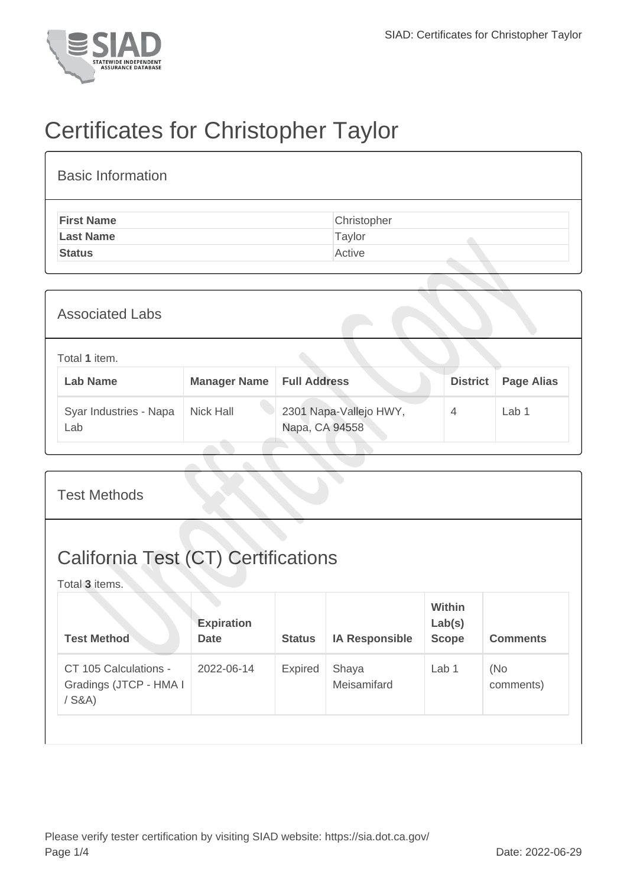

## Certificates for Christopher Taylor

| <b>Basic Information</b> |             |
|--------------------------|-------------|
| <b>First Name</b>        | Christopher |
| <b>Last Name</b>         | Taylor      |
| <b>Status</b>            | Active      |

| <b>Associated Labs</b>           |                     |                                          |                 |                   |
|----------------------------------|---------------------|------------------------------------------|-----------------|-------------------|
| Total 1 item.<br><b>Lab Name</b> | <b>Manager Name</b> | <b>Full Address</b>                      | <b>District</b> | <b>Page Alias</b> |
| Syar Industries - Napa<br>Lab    | <b>Nick Hall</b>    | 2301 Napa-Vallejo HWY,<br>Napa, CA 94558 | 4               | Lab 1             |

| <b>Test Methods</b>                                          |                                  |               |                       |                                         |                  |  |
|--------------------------------------------------------------|----------------------------------|---------------|-----------------------|-----------------------------------------|------------------|--|
| <b>California Test (CT) Certifications</b><br>Total 3 items. |                                  |               |                       |                                         |                  |  |
| <b>Test Method</b>                                           | <b>Expiration</b><br><b>Date</b> | <b>Status</b> | <b>IA Responsible</b> | <b>Within</b><br>Lab(s)<br><b>Scope</b> | <b>Comments</b>  |  |
| CT 105 Calculations -<br>Gradings (JTCP - HMA I<br>$/$ S&A)  | 2022-06-14                       | Expired       | Shaya<br>Meisamifard  | Lab 1                                   | (No<br>comments) |  |
|                                                              |                                  |               |                       |                                         |                  |  |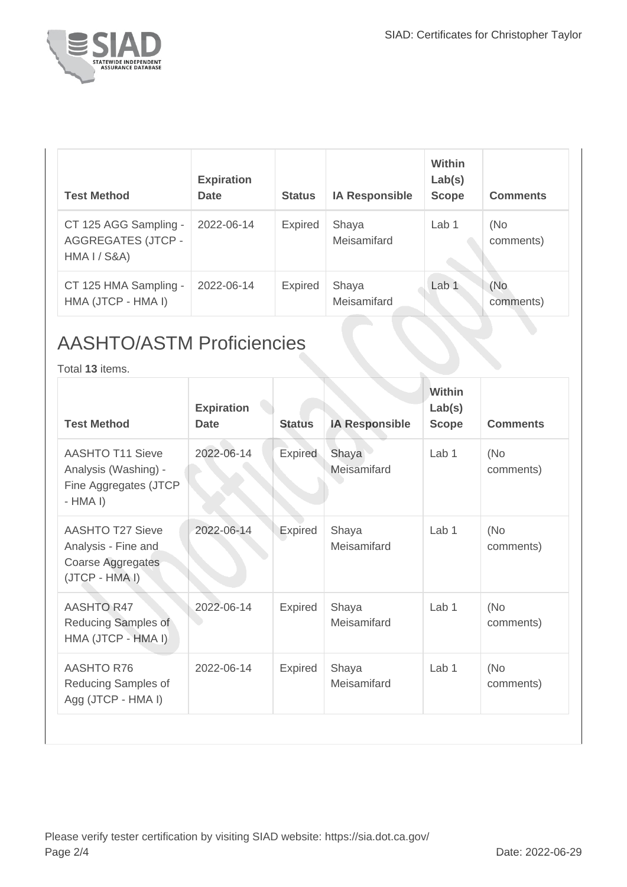

| <b>Test Method</b>                                                 | <b>Expiration</b><br><b>Date</b> | <b>Status</b>  | <b>IA Responsible</b> | <b>Within</b><br>Lab(s)<br><b>Scope</b> | <b>Comments</b>  |
|--------------------------------------------------------------------|----------------------------------|----------------|-----------------------|-----------------------------------------|------------------|
| CT 125 AGG Sampling -<br><b>AGGREGATES (JTCP -</b><br>HMA I / S&A) | 2022-06-14                       | <b>Expired</b> | Shaya<br>Meisamifard  | Lab 1                                   | (No<br>comments) |
| CT 125 HMA Sampling -<br>HMA (JTCP - HMA I)                        | 2022-06-14                       | <b>Expired</b> | Shaya<br>Meisamifard  | Lab <sub>1</sub>                        | (No<br>comments) |

## AASHTO/ASTM Proficiencies

Total **13** items.

| <b>Test Method</b>                                                                    | <b>Expiration</b><br><b>Date</b> | <b>Status</b>  | <b>IA Responsible</b> | <b>Within</b><br>Lab(s)<br><b>Scope</b> | <b>Comments</b>  |
|---------------------------------------------------------------------------------------|----------------------------------|----------------|-----------------------|-----------------------------------------|------------------|
| <b>AASHTO T11 Sieve</b><br>Analysis (Washing) -<br>Fine Aggregates (JTCP<br>$-HMA I)$ | 2022-06-14                       | <b>Expired</b> | Shaya<br>Meisamifard  | Lab <sub>1</sub>                        | (No<br>comments) |
| AASHTO T27 Sieve<br>Analysis - Fine and<br>Coarse Aggregates<br>(JTCP - HMA I)        | 2022-06-14                       | Expired        | Shaya<br>Meisamifard  | Lab 1                                   | (No<br>comments) |
| <b>AASHTO R47</b><br>Reducing Samples of<br>HMA (JTCP - HMA I)                        | 2022-06-14                       | <b>Expired</b> | Shaya<br>Meisamifard  | Lab <sub>1</sub>                        | (No<br>comments) |
| <b>AASHTO R76</b><br>Reducing Samples of<br>Agg (JTCP - HMA I)                        | 2022-06-14                       | <b>Expired</b> | Shaya<br>Meisamifard  | Lab 1                                   | (No<br>comments) |
|                                                                                       |                                  |                |                       |                                         |                  |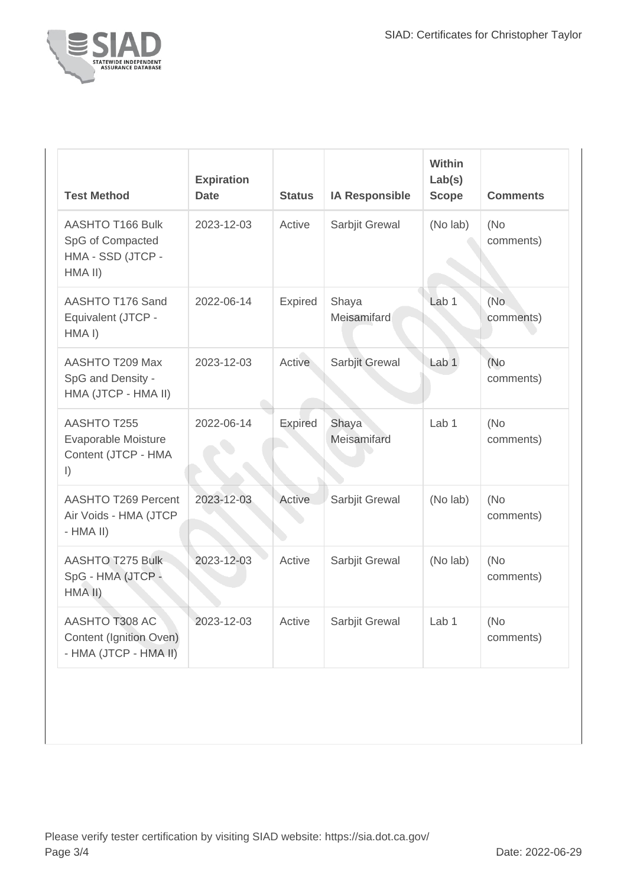

| <b>Test Method</b>                                                            | <b>Expiration</b><br><b>Date</b> | <b>Status</b>  | <b>IA Responsible</b> | Within<br>Lab(s)<br><b>Scope</b> | <b>Comments</b>   |
|-------------------------------------------------------------------------------|----------------------------------|----------------|-----------------------|----------------------------------|-------------------|
| AASHTO T166 Bulk<br>SpG of Compacted<br>HMA - SSD (JTCP -<br>HMA II)          | 2023-12-03                       | Active         | Sarbjit Grewal        | (No lab)                         | (No)<br>comments) |
| AASHTO T176 Sand<br>Equivalent (JTCP -<br>HMA <sub>I</sub> )                  | 2022-06-14                       | <b>Expired</b> | Shaya<br>Meisamifard  | Lab 1                            | (No)<br>comments) |
| AASHTO T209 Max<br>SpG and Density -<br>HMA (JTCP - HMA II)                   | 2023-12-03                       | Active         | Sarbjit Grewal        | Lab <sub>1</sub>                 | (No<br>comments)  |
| <b>AASHTO T255</b><br>Evaporable Moisture<br>Content (JTCP - HMA<br>$\vert$ ) | 2022-06-14                       | <b>Expired</b> | Shaya<br>Meisamifard  | Lab <sub>1</sub>                 | (No<br>comments)  |
| <b>AASHTO T269 Percent</b><br>Air Voids - HMA (JTCP<br>$-HMA$ II)             | 2023-12-03                       | <b>Active</b>  | Sarbjit Grewal        | (No lab)                         | (No<br>comments)  |
| <b>AASHTO T275 Bulk</b><br>SpG - HMA (JTCP -<br>HMA II)                       | 2023-12-03                       | Active         | Sarbjit Grewal        | (No lab)                         | (No<br>comments)  |
| AASHTO T308 AC<br>Content (Ignition Oven)<br>- HMA (JTCP - HMA II)            | 2023-12-03                       | Active         | Sarbjit Grewal        | Lab <sub>1</sub>                 | (No<br>comments)  |